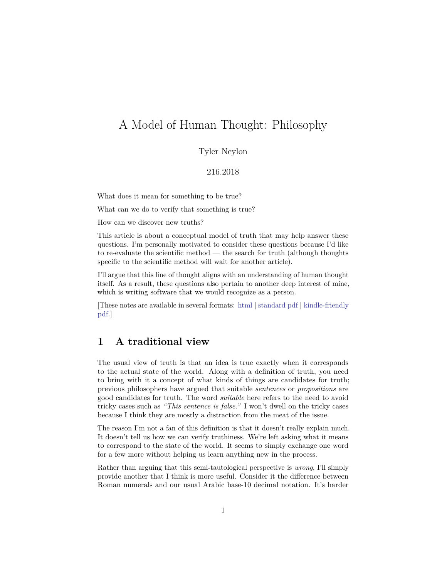# A Model of Human Thought: Philosophy

## Tyler Neylon

#### 216.2018

What does it mean for something to be true?

What can we do to verify that something is true?

How can we discover new truths?

This article is about a conceptual model of truth that may help answer these questions. I'm personally motivated to consider these questions because I'd like to re-evaluate the scientific method — the search for truth (although thoughts specific to the scientific method will wait for another article).

I'll argue that this line of thought aligns with an understanding of human thought itself. As a result, these questions also pertain to another deep interest of mine, which is writing software that we would recognize as a person.

[These notes are available in several formats: [html](http://tylerneylon.com/a/thought1/thought1.html) | [standard pdf](http://tylerneylon.com/a/thought1/thought1.pdf) | [kindle-friendly](http://tylerneylon.com/a/thought1/thought1_for_kindle.pdf) [pdf.](http://tylerneylon.com/a/thought1/thought1_for_kindle.pdf)]

## **1 A traditional view**

The usual view of truth is that an idea is true exactly when it corresponds to the actual state of the world. Along with a definition of truth, you need to bring with it a concept of what kinds of things are candidates for truth; previous philosophers have argued that suitable *sentences* or *propositions* are good candidates for truth. The word *suitable* here refers to the need to avoid tricky cases such as *"This sentence is false."* I won't dwell on the tricky cases because I think they are mostly a distraction from the meat of the issue.

The reason I'm not a fan of this definition is that it doesn't really explain much. It doesn't tell us how we can verify truthiness. We're left asking what it means to correspond to the state of the world. It seems to simply exchange one word for a few more without helping us learn anything new in the process.

Rather than arguing that this semi-tautological perspective is *wrong*, I'll simply provide another that I think is more useful. Consider it the difference between Roman numerals and our usual Arabic base-10 decimal notation. It's harder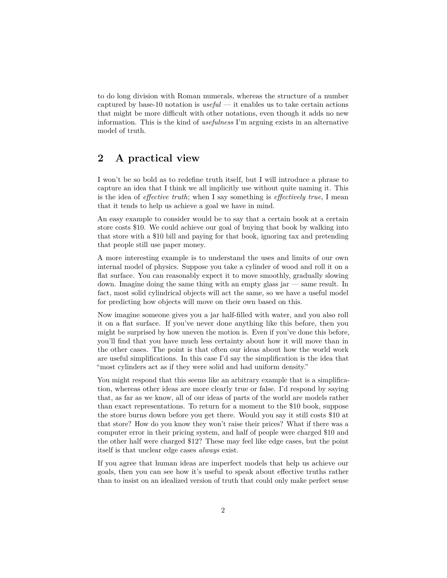to do long division with Roman numerals, whereas the structure of a number captured by base-10 notation is *useful* — it enables us to take certain actions that might be more difficult with other notations, even though it adds no new information. This is the kind of *usefulness* I'm arguing exists in an alternative model of truth.

# **2 A practical view**

I won't be so bold as to redefine truth itself, but I will introduce a phrase to capture an idea that I think we all implicitly use without quite naming it. This is the idea of *effective truth*; when I say something is *effectively true*, I mean that it tends to help us achieve a goal we have in mind.

An easy example to consider would be to say that a certain book at a certain store costs \$10. We could achieve our goal of buying that book by walking into that store with a \$10 bill and paying for that book, ignoring tax and pretending that people still use paper money.

A more interesting example is to understand the uses and limits of our own internal model of physics. Suppose you take a cylinder of wood and roll it on a flat surface. You can reasonably expect it to move smoothly, gradually slowing down. Imagine doing the same thing with an empty glass jar — same result. In fact, most solid cylindrical objects will act the same, so we have a useful model for predicting how objects will move on their own based on this.

Now imagine someone gives you a jar half-filled with water, and you also roll it on a flat surface. If you've never done anything like this before, then you might be surprised by how uneven the motion is. Even if you've done this before, you'll find that you have much less certainty about how it will move than in the other cases. The point is that often our ideas about how the world work are useful simplifications. In this case I'd say the simplification is the idea that "most cylinders act as if they were solid and had uniform density."

You might respond that this seems like an arbitrary example that is a simplification, whereas other ideas are more clearly true or false. I'd respond by saying that, as far as we know, all of our ideas of parts of the world are models rather than exact representations. To return for a moment to the \$10 book, suppose the store burns down before you get there. Would you say it still costs \$10 at that store? How do you know they won't raise their prices? What if there was a computer error in their pricing system, and half of people were charged \$10 and the other half were charged \$12? These may feel like edge cases, but the point itself is that unclear edge cases *always* exist.

If you agree that human ideas are imperfect models that help us achieve our goals, then you can see how it's useful to speak about effective truths rather than to insist on an idealized version of truth that could only make perfect sense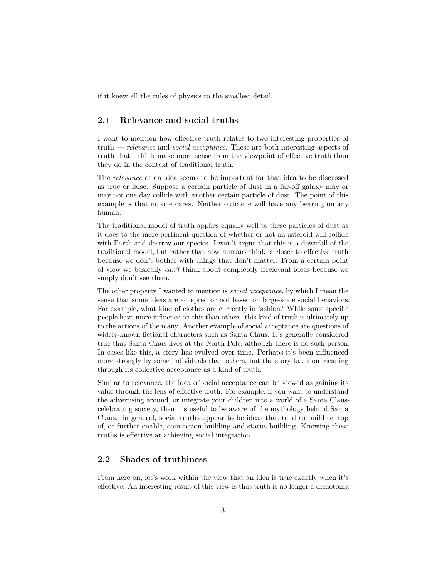if it knew all the rules of physics to the smallest detail.

## **2.1 Relevance and social truths**

I want to mention how effective truth relates to two interesting properties of truth — *relevance* and *social acceptance*. These are both interesting aspects of truth that I think make more sense from the viewpoint of effective truth than they do in the context of traditional truth.

The *relevance* of an idea seems to be important for that idea to be discussed as true or false. Suppose a certain particle of dust in a far-off galaxy may or may not one day collide with another certain particle of dust. The point of this example is that no one cares. Neither outcome will have any bearing on any human.

The traditional model of truth applies equally well to these particles of dust as it does to the more pertinent question of whether or not an asteroid will collide with Earth and destroy our species. I won't argue that this is a downfall of the traditional model, but rather that how humans think is closer to effective truth because we don't bother with things that don't matter. From a certain point of view we basically *can't* think about completely irrelevant ideas because we simply don't see them.

The other property I wanted to mention is *social acceptance,* by which I mean the sense that some ideas are accepted or not based on large-scale social behaviors. For example, what kind of clothes are currently in fashion? While some specific people have more influence on this than others, this kind of truth is ultimately up to the actions of the many. Another example of social acceptance are questions of widely-known fictional characters such as Santa Claus. It's generally considered true that Santa Claus lives at the North Pole, although there is no such person. In cases like this, a story has evolved over time. Perhaps it's been influenced more strongly by some individuals than others, but the story takes on meaning through its collective acceptance as a kind of truth.

Similar to relevance, the idea of social acceptance can be viewed as gaining its value through the lens of effective truth. For example, if you want to understand the advertising around, or integrate your children into a world of a Santa Clauscelebrating society, then it's useful to be aware of the mythology behind Santa Claus. In general, social truths appear to be ideas that tend to build on top of, or further enable, connection-building and status-building. Knowing these truths is effective at achieving social integration.

## **2.2 Shades of truthiness**

From here on, let's work within the view that an idea is true exactly when it's effective. An interesting result of this view is that truth is no longer a dichotomy.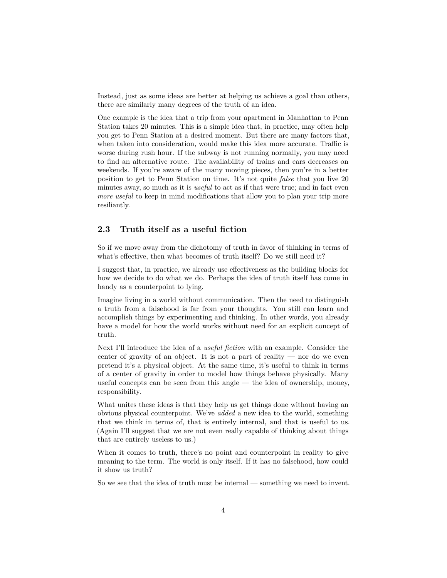Instead, just as some ideas are better at helping us achieve a goal than others, there are similarly many degrees of the truth of an idea.

One example is the idea that a trip from your apartment in Manhattan to Penn Station takes 20 minutes. This is a simple idea that, in practice, may often help you get to Penn Station at a desired moment. But there are many factors that, when taken into consideration, would make this idea more accurate. Traffic is worse during rush hour. If the subway is not running normally, you may need to find an alternative route. The availability of trains and cars decreases on weekends. If you're aware of the many moving pieces, then you're in a better position to get to Penn Station on time. It's not quite *false* that you live 20 minutes away, so much as it is *useful* to act as if that were true; and in fact even *more useful* to keep in mind modifications that allow you to plan your trip more resiliantly.

### **2.3 Truth itself as a useful fiction**

So if we move away from the dichotomy of truth in favor of thinking in terms of what's effective, then what becomes of truth itself? Do we still need it?

I suggest that, in practice, we already use effectiveness as the building blocks for how we decide to do what we do. Perhaps the idea of truth itself has come in handy as a counterpoint to lying.

Imagine living in a world without communication. Then the need to distinguish a truth from a falsehood is far from your thoughts. You still can learn and accomplish things by experimenting and thinking. In other words, you already have a model for how the world works without need for an explicit concept of truth.

Next I'll introduce the idea of a *useful fiction* with an example. Consider the center of gravity of an object. It is not a part of reality  $-$  nor do we even pretend it's a physical object. At the same time, it's useful to think in terms of a center of gravity in order to model how things behave physically. Many useful concepts can be seen from this angle — the idea of ownership, money, responsibility.

What unites these ideas is that they help us get things done without having an obvious physical counterpoint. We've *added* a new idea to the world, something that we think in terms of, that is entirely internal, and that is useful to us. (Again I'll suggest that we are not even really capable of thinking about things that are entirely useless to us.)

When it comes to truth, there's no point and counterpoint in reality to give meaning to the term. The world is only itself. If it has no falsehood, how could it show us truth?

So we see that the idea of truth must be internal — something we need to invent.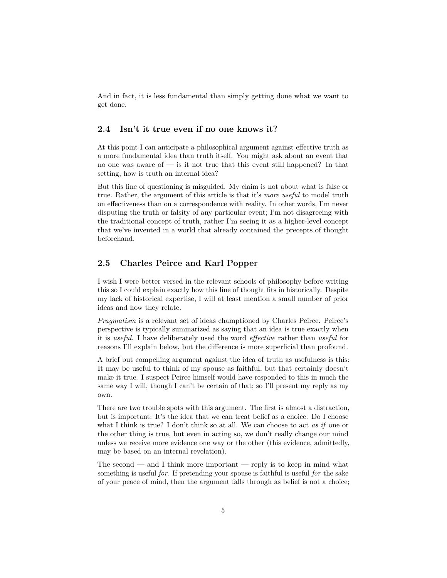And in fact, it is less fundamental than simply getting done what we want to get done.

#### **2.4 Isn't it true even if no one knows it?**

At this point I can anticipate a philosophical argument against effective truth as a more fundamental idea than truth itself. You might ask about an event that no one was aware of — is it not true that this event still happened? In that setting, how is truth an internal idea?

But this line of questioning is misguided. My claim is not about what is false or true. Rather, the argument of this article is that it's *more useful* to model truth on effectiveness than on a correspondence with reality. In other words, I'm never disputing the truth or falsity of any particular event; I'm not disagreeing with the traditional concept of truth, rather I'm seeing it as a higher-level concept that we've invented in a world that already contained the precepts of thought beforehand.

## **2.5 Charles Peirce and Karl Popper**

I wish I were better versed in the relevant schools of philosophy before writing this so I could explain exactly how this line of thought fits in historically. Despite my lack of historical expertise, I will at least mention a small number of prior ideas and how they relate.

*Pragmatism* is a relevant set of ideas champtioned by Charles Peirce. Peirce's perspective is typically summarized as saying that an idea is true exactly when it is *useful*. I have deliberately used the word *effective* rather than *useful* for reasons I'll explain below, but the difference is more superficial than profound.

A brief but compelling argument against the idea of truth as usefulness is this: It may be useful to think of my spouse as faithful, but that certainly doesn't make it true. I suspect Peirce himself would have responded to this in much the same way I will, though I can't be certain of that; so I'll present my reply as my own.

There are two trouble spots with this argument. The first is almost a distraction, but is important: It's the idea that we can treat belief as a choice. Do I choose what I think is true? I don't think so at all. We can choose to act *as if* one or the other thing is true, but even in acting so, we don't really change our mind unless we receive more evidence one way or the other (this evidence, admittedly, may be based on an internal revelation).

The second — and I think more important — reply is to keep in mind what something is useful *for*. If pretending your spouse is faithful is useful *for* the sake of your peace of mind, then the argument falls through as belief is not a choice;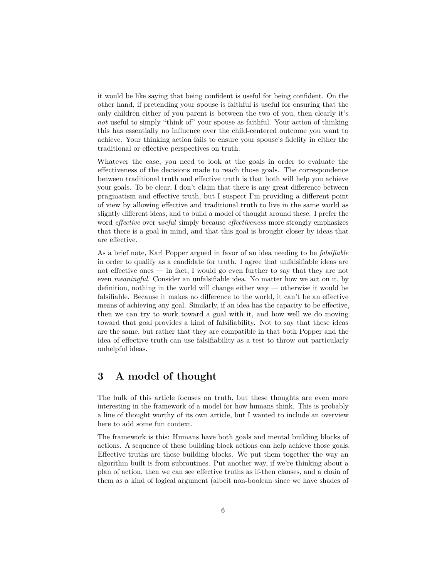it would be like saying that being confident is useful for being confident. On the other hand, if pretending your spouse is faithful is useful for ensuring that the only children either of you parent is between the two of you, then clearly it's *not* useful to simply "think of" your spouse as faithful. Your action of thinking this has essentially no influence over the child-centered outcome you want to achieve. Your thinking action fails to ensure your spouse's fidelity in either the traditional or effective perspectives on truth.

Whatever the case, you need to look at the goals in order to evaluate the effectiveness of the decisions made to reach those goals. The correspondence between traditional truth and effective truth is that both will help you achieve your goals. To be clear, I don't claim that there is any great difference between pragmatism and effective truth, but I suspect I'm providing a different point of view by allowing effective and traditional truth to live in the same world as slightly different ideas, and to build a model of thought around these. I prefer the word *effective* over *useful* simply because *effectiveness* more strongly emphasizes that there is a goal in mind, and that this goal is brought closer by ideas that are effective.

As a brief note, Karl Popper argued in favor of an idea needing to be *falsifiable* in order to qualify as a candidate for truth. I agree that unfalsifiable ideas are not effective ones — in fact, I would go even further to say that they are not even *meaningful*. Consider an unfalsifiable idea. No matter how we act on it, by definition, nothing in the world will change either way — otherwise it would be falsifiable. Because it makes no difference to the world, it can't be an effective means of achieving any goal. Similarly, if an idea has the capacity to be effective, then we can try to work toward a goal with it, and how well we do moving toward that goal provides a kind of falsifiability. Not to say that these ideas are the same, but rather that they are compatible in that both Popper and the idea of effective truth can use falsifiability as a test to throw out particularly unhelpful ideas.

# **3 A model of thought**

The bulk of this article focuses on truth, but these thoughts are even more interesting in the framework of a model for how humans think. This is probably a line of thought worthy of its own article, but I wanted to include an overview here to add some fun context.

The framework is this: Humans have both goals and mental building blocks of actions. A sequence of these building block actions can help achieve those goals. Effective truths are these building blocks. We put them together the way an algorithm built is from subroutines. Put another way, if we're thinking about a plan of action, then we can see effective truths as if-then clauses, and a chain of them as a kind of logical argument (albeit non-boolean since we have shades of